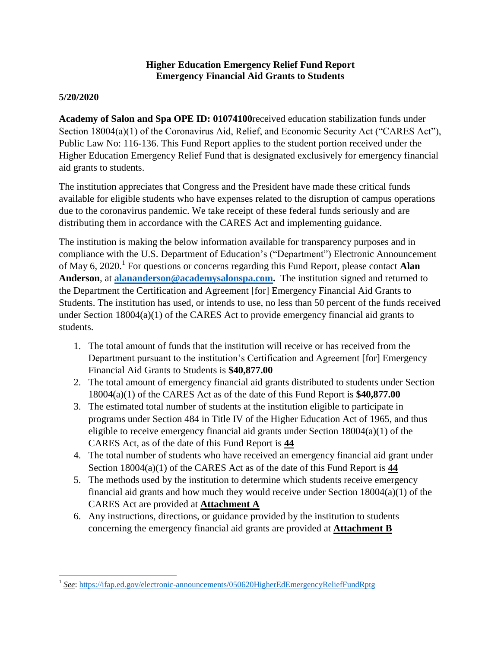## **Higher Education Emergency Relief Fund Report Emergency Financial Aid Grants to Students**

## **5/20/2020**

**Academy of Salon and Spa OPE ID: 01074100**received education stabilization funds under Section 18004(a)(1) of the Coronavirus Aid, Relief, and Economic Security Act ("CARES Act"), Public Law No: 116-136. This Fund Report applies to the student portion received under the Higher Education Emergency Relief Fund that is designated exclusively for emergency financial aid grants to students.

The institution appreciates that Congress and the President have made these critical funds available for eligible students who have expenses related to the disruption of campus operations due to the coronavirus pandemic. We take receipt of these federal funds seriously and are distributing them in accordance with the CARES Act and implementing guidance.

The institution is making the below information available for transparency purposes and in compliance with the U.S. Department of Education's ("Department") Electronic Announcement of May 6, 2020. 1 For questions or concerns regarding this Fund Report, please contact **Alan Anderson**, at **[alananderson@academysalonspa.com.](mailto:alananderson@academysalonspa.com)** The institution signed and returned to the Department the Certification and Agreement [for] Emergency Financial Aid Grants to Students. The institution has used, or intends to use, no less than 50 percent of the funds received under Section 18004(a)(1) of the CARES Act to provide emergency financial aid grants to students.

- 1. The total amount of funds that the institution will receive or has received from the Department pursuant to the institution's Certification and Agreement [for] Emergency Financial Aid Grants to Students is **\$40,877.00**
- 2. The total amount of emergency financial aid grants distributed to students under Section 18004(a)(1) of the CARES Act as of the date of this Fund Report is **\$40,877.00**
- 3. The estimated total number of students at the institution eligible to participate in programs under Section 484 in Title IV of the Higher Education Act of 1965, and thus eligible to receive emergency financial aid grants under Section  $18004(a)(1)$  of the CARES Act, as of the date of this Fund Report is **44**
- 4. The total number of students who have received an emergency financial aid grant under Section 18004(a)(1) of the CARES Act as of the date of this Fund Report is **44**
- 5. The methods used by the institution to determine which students receive emergency financial aid grants and how much they would receive under Section 18004(a)(1) of the CARES Act are provided at **Attachment A**
- 6. Any instructions, directions, or guidance provided by the institution to students concerning the emergency financial aid grants are provided at **Attachment B**

 $\overline{\phantom{a}}$ <sup>1</sup> See:<https://ifap.ed.gov/electronic-announcements/050620HigherEdEmergencyReliefFundRptg>